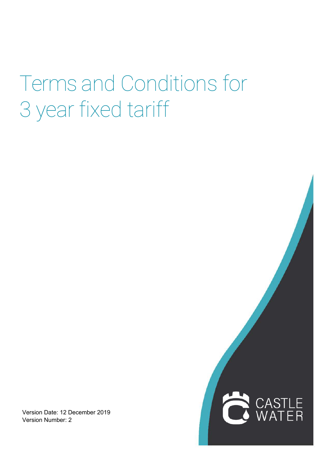## Terms and Conditions for 3 year fixed tariff

ŕ

LE<br>ER

Version Date: 12 December 2019 Version Number: 2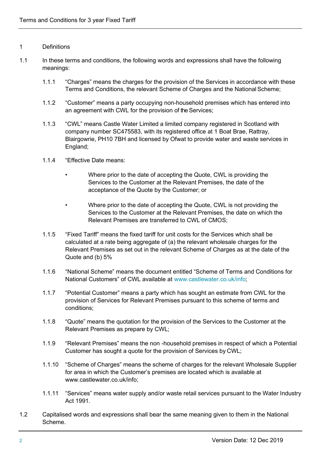## 1 Definitions

- 1.1 In these terms and conditions, the following words and expressions shall have the following meanings:
	- 1.1.1 "Charges" means the charges for the provision of the Services in accordance with these Terms and Conditions, the relevant Scheme of Charges and the National Scheme;
	- 1.1.2 "Customer" means a party occupying non-household premises which has entered into an agreement with CWL for the provision of the Services;
	- 1.1.3 "CWL" means Castle Water Limited a limited company registered in Scotland with company number SC475583, with its registered office at 1 Boat Brae, Rattray, Blairgowrie, PH10 7BH and licensed by Ofwat to provide water and waste services in England;
	- 1.1.4 "Effective Date means:
		- Where prior to the date of accepting the Quote, CWL is providing the Services to the Customer at the Relevant Premises, the date of the acceptance of the Quote by the Customer; or
		- Where prior to the date of accepting the Quote, CWL is not providing the Services to the Customer at the Relevant Premises, the date on which the Relevant Premises are transferred to CWL of CMOS;
	- 1.1.5 "Fixed Tariff" means the fixed tariff for unit costs for the Services which shall be calculated at a rate being aggregate of (a) the relevant wholesale charges for the Relevant Premises as set out in the relevant Scheme of Charges as at the date of the Quote and (b) 5%
	- 1.1.6 "National Scheme" means the document entitled "Scheme of Terms and Conditions for National Customers" of CWL available at [www.castlewater.co.uk/info;](http://www.castlewater.co.uk/info%3B)
	- 1.1.7 "Potential Customer" means a party which has sought an estimate from CWL for the provision of Services for Relevant Premises pursuant to this scheme of terms and conditions;
	- 1.1.8 "Quote" means the quotation for the provision of the Services to the Customer at the Relevant Premises as prepare by CWL;
	- 1.1.9 "Relevant Premises" means the non -household premises in respect of which a Potential Customer has sought a quote for the provision of Services by CWL;
	- 1.1.10 "Scheme of Charges" means the scheme of charges for the relevant Wholesale Supplier for area in which the Customer's premises are located which is available at [www.castlewater.co.uk/info;](http://www.castlewater.co.uk/info%3B)
	- 1.1.11 "Services" means water supply and/or waste retail services pursuant to the Water Industry Act 1991.
- 1.2 Capitalised words and expressions shall bear the same meaning given to them in the National Scheme.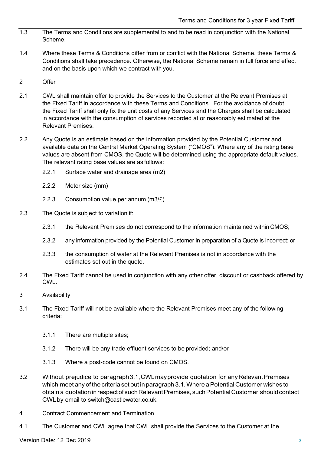- 1.3 The Terms and Conditions are supplemental to and to be read in conjunction with the National Scheme.
- 1.4 Where these Terms & Conditions differ from or conflict with the National Scheme, these Terms & Conditions shall take precedence. Otherwise, the National Scheme remain in full force and effect and on the basis upon which we contract with you.
- 2 Offer
- 2.1 CWL shall maintain offer to provide the Services to the Customer at the Relevant Premises at the Fixed Tariff in accordance with these Terms and Conditions. For the avoidance of doubt the Fixed Tariff shall only fix the unit costs of any Services and the Charges shall be calculated in accordance with the consumption of services recorded at or reasonably estimated at the Relevant Premises.
- 2.2 Any Quote is an estimate based on the information provided by the Potential Customer and available data on the Central Market Operating System ("CMOS"). Where any of the rating base values are absent from CMOS, the Quote will be determined using the appropriate default values. The relevant rating base values are as follows:
	- 2.2.1 Surface water and drainage area (m2)
	- 2.2.2 Meter size (mm)
	- 2.2.3 Consumption value per annum (m3/£)
- 2.3 The Quote is subject to variation if:
	- 2.3.1 the Relevant Premises do not correspond to the information maintained within CMOS;
	- 2.3.2 any information provided by the Potential Customer in preparation of a Quote is incorrect; or
	- 2.3.3 the consumption of water at the Relevant Premises is not in accordance with the estimates set out in the quote.
- 2.4 The Fixed Tariff cannot be used in conjunction with any other offer, discount or cashback offered by CWL.
- 3 Availability
- 3.1 The Fixed Tariff will not be available where the Relevant Premises meet any of the following criteria:
	- 3.1.1 There are multiple sites;
	- 3.1.2 There will be any trade effluent services to be provided; and/or
	- 3.1.3 Where a post-code cannot be found on CMOS.
- 3.2 Without prejudice to paragraph3.1,CWLmayprovide quotation for anyRelevantPremises which meet any of the criteria set out in paragraph 3.1. Where a Potential Customer wishes to obtain a quotation in respect of such Relevant Premises, such Potential Customer should contact CWLby email to [switch@castlewater.co.uk.](mailto:switch@castlewater.co.uk)
- 4 Contract Commencement and Termination
- 4.1 The Customer and CWL agree that CWL shall provide the Services to the Customer at the